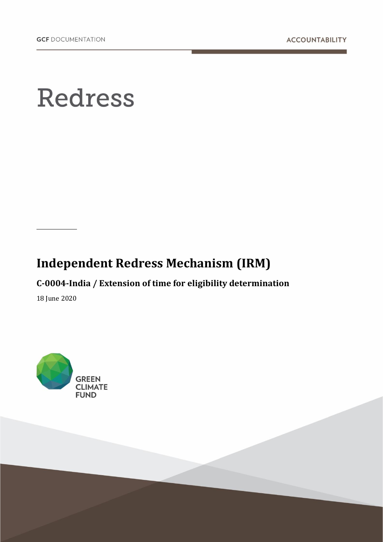## **Redress**

## **Independent Redress Mechanism (IRM)**

**C-0004-India / Extension of time for eligibility determination** 

18 June 2020